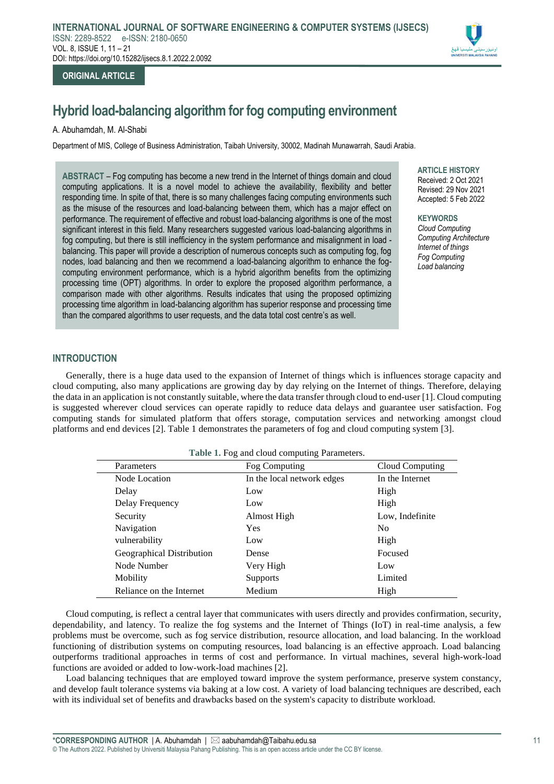# **ORIGINAL ARTICLE**

# **Hybrid load-balancing algorithm for fog computing environment**

# A. Abuhamdah, M. Al-Shabi

Department of MIS, College of Business Administration, Taibah University, 30002, Madinah Munawarrah, Saudi Arabia.

**ABSTRACT** – Fog computing has become a new trend in the Internet of things domain and cloud computing applications. It is a novel model to achieve the availability, flexibility and better responding time. In spite of that, there is so many challenges facing computing environments such as the misuse of the resources and load-balancing between them, which has a major effect on performance. The requirement of effective and robust load-balancing algorithms is one of the most significant interest in this field. Many researchers suggested various load-balancing algorithms in fog computing, but there is still inefficiency in the system performance and misalignment in load balancing. This paper will provide a description of numerous concepts such as computing fog, fog nodes, load balancing and then we recommend a load-balancing algorithm to enhance the fogcomputing environment performance, which is a hybrid algorithm benefits from the optimizing processing time (OPT) algorithms. In order to explore the proposed algorithm performance, a comparison made with other algorithms. Results indicates that using the proposed optimizing processing time algorithm in load-balancing algorithm has superior response and processing time than the compared algorithms to user requests, and the data total cost centre's as well.

**ARTICLE HISTORY** 

Received: 2 Oct 2021 Revised: 29 Nov 2021 Accepted: 5 Feb 2022

**KEYWORDS** *Cloud Computing Computing Architecture Internet of things Fog Computing Load balancing*

# **INTRODUCTION**

Generally, there is a huge data used to the expansion of Internet of things which is influences storage capacity and cloud computing, also many applications are growing day by day relying on the Internet of things. Therefore, delaying the data in an application is not constantly suitable, where the data transfer through cloud to end-user [1]. Cloud computing is suggested wherever cloud services can operate rapidly to reduce data delays and guarantee user satisfaction. Fog computing stands for simulated platform that offers storage, computation services and networking amongst cloud platforms and end devices [2]. Table 1 demonstrates the parameters of fog and cloud computing system [3].

| Table 1. Fog and cloud computing Parameters. |                            |                 |
|----------------------------------------------|----------------------------|-----------------|
| Parameters                                   | Fog Computing              | Cloud Computing |
| Node Location                                | In the local network edges | In the Internet |
| Delay                                        | Low                        | High            |
| Delay Frequency                              | Low                        | High            |
| Security                                     | Almost High                | Low, Indefinite |
| Navigation                                   | <b>Yes</b>                 | N <sub>0</sub>  |
| vulnerability                                | Low                        | High            |
| Geographical Distribution                    | Dense                      | Focused         |
| Node Number                                  | Very High                  | Low             |
| Mobility                                     | <b>Supports</b>            | Limited         |
| Reliance on the Internet                     | Medium                     | High            |

Cloud computing, is reflect a central layer that communicates with users directly and provides confirmation, security, dependability, and latency. To realize the fog systems and the Internet of Things (IoT) in real-time analysis, a few problems must be overcome, such as fog service distribution, resource allocation, and load balancing. In the workload functioning of distribution systems on computing resources, load balancing is an effective approach. Load balancing outperforms traditional approaches in terms of cost and performance. In virtual machines, several high-work-load functions are avoided or added to low-work-load machines [2].

Load balancing techniques that are employed toward improve the system performance, preserve system constancy, and develop fault tolerance systems via baking at a low cost. A variety of load balancing techniques are described, each with its individual set of benefits and drawbacks based on the system's capacity to distribute workload.

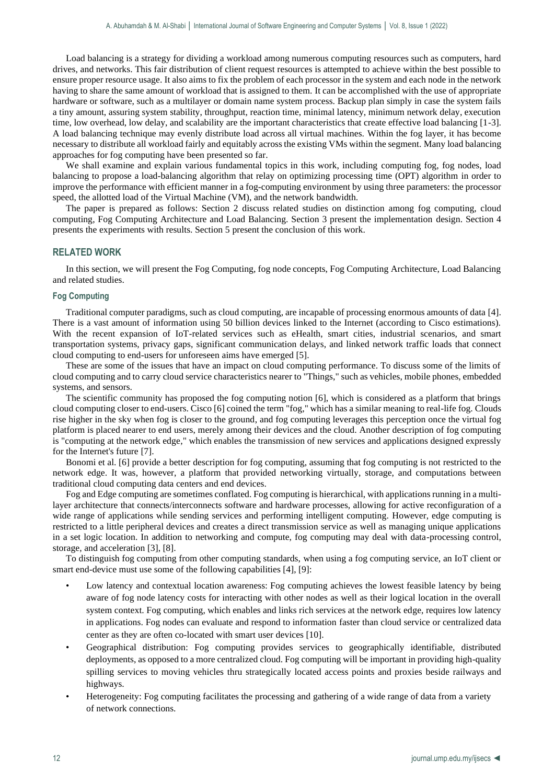Load balancing is a strategy for dividing a workload among numerous computing resources such as computers, hard drives, and networks. This fair distribution of client request resources is attempted to achieve within the best possible to ensure proper resource usage. It also aims to fix the problem of each processor in the system and each node in the network having to share the same amount of workload that is assigned to them. It can be accomplished with the use of appropriate hardware or software, such as a multilayer or domain name system process. Backup plan simply in case the system fails a tiny amount, assuring system stability, throughput, reaction time, minimal latency, minimum network delay, execution time, low overhead, low delay, and scalability are the important characteristics that create effective load balancing [1-3]. A load balancing technique may evenly distribute load across all virtual machines. Within the fog layer, it has become necessary to distribute all workload fairly and equitably across the existing VMs within the segment. Many load balancing approaches for fog computing have been presented so far.

We shall examine and explain various fundamental topics in this work, including computing fog, fog nodes, load balancing to propose a load-balancing algorithm that relay on optimizing processing time (OPT) algorithm in order to improve the performance with efficient manner in a fog-computing environment by using three parameters: the processor speed, the allotted load of the Virtual Machine (VM), and the network bandwidth.

The paper is prepared as follows: Section 2 discuss related studies on distinction among fog computing, cloud computing, Fog Computing Architecture and Load Balancing. Section 3 present the implementation design. Section 4 presents the experiments with results. Section 5 present the conclusion of this work.

### **RELATED WORK**

In this section, we will present the Fog Computing, fog node concepts, Fog Computing Architecture, Load Balancing and related studies.

#### **Fog Computing**

Traditional computer paradigms, such as cloud computing, are incapable of processing enormous amounts of data [4]. There is a vast amount of information using 50 billion devices linked to the Internet (according to Cisco estimations). With the recent expansion of IoT-related services such as eHealth, smart cities, industrial scenarios, and smart transportation systems, privacy gaps, significant communication delays, and linked network traffic loads that connect cloud computing to end-users for unforeseen aims have emerged [5].

These are some of the issues that have an impact on cloud computing performance. To discuss some of the limits of cloud computing and to carry cloud service characteristics nearer to "Things," such as vehicles, mobile phones, embedded systems, and sensors.

The scientific community has proposed the fog computing notion [6], which is considered as a platform that brings cloud computing closer to end-users. Cisco [6] coined the term "fog," which has a similar meaning to real-life fog. Clouds rise higher in the sky when fog is closer to the ground, and fog computing leverages this perception once the virtual fog platform is placed nearer to end users, merely among their devices and the cloud. Another description of fog computing is "computing at the network edge," which enables the transmission of new services and applications designed expressly for the Internet's future [7].

Bonomi et al. [6] provide a better description for fog computing, assuming that fog computing is not restricted to the network edge. It was, however, a platform that provided networking virtually, storage, and computations between traditional cloud computing data centers and end devices.

Fog and Edge computing are sometimes conflated. Fog computing is hierarchical, with applications running in a multilayer architecture that connects/interconnects software and hardware processes, allowing for active reconfiguration of a wide range of applications while sending services and performing intelligent computing. However, edge computing is restricted to a little peripheral devices and creates a direct transmission service as well as managing unique applications in a set logic location. In addition to networking and compute, fog computing may deal with data-processing control, storage, and acceleration [3], [8].

To distinguish fog computing from other computing standards, when using a fog computing service, an IoT client or smart end-device must use some of the following capabilities [4], [9]:

- Low latency and contextual location awareness: Fog computing achieves the lowest feasible latency by being aware of fog node latency costs for interacting with other nodes as well as their logical location in the overall system context. Fog computing, which enables and links rich services at the network edge, requires low latency in applications. Fog nodes can evaluate and respond to information faster than cloud service or centralized data center as they are often co-located with smart user devices [10].
- Geographical distribution: Fog computing provides services to geographically identifiable, distributed deployments, as opposed to a more centralized cloud. Fog computing will be important in providing high-quality spilling services to moving vehicles thru strategically located access points and proxies beside railways and highways.
- Heterogeneity: Fog computing facilitates the processing and gathering of a wide range of data from a variety of network connections.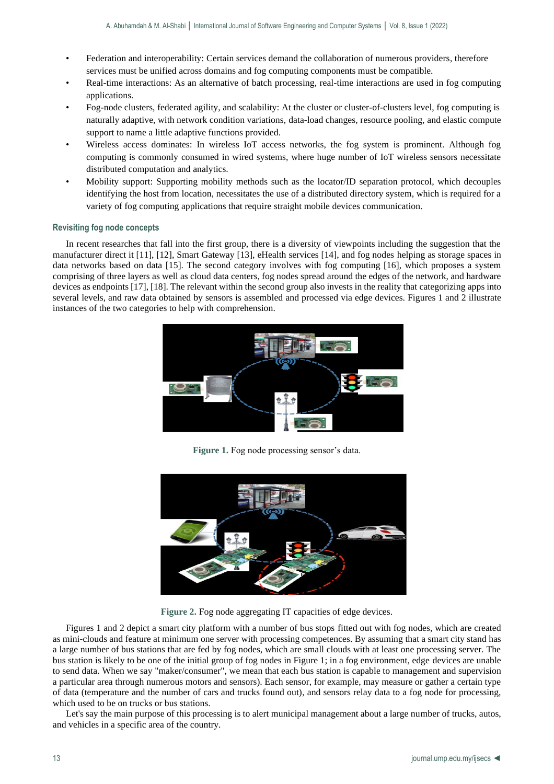- Federation and interoperability: Certain services demand the collaboration of numerous providers, therefore services must be unified across domains and fog computing components must be compatible.
- Real-time interactions: As an alternative of batch processing, real-time interactions are used in fog computing applications.
- Fog-node clusters, federated agility, and scalability: At the cluster or cluster-of-clusters level, fog computing is naturally adaptive, with network condition variations, data-load changes, resource pooling, and elastic compute support to name a little adaptive functions provided.
- Wireless access dominates: In wireless IoT access networks, the fog system is prominent. Although fog computing is commonly consumed in wired systems, where huge number of IoT wireless sensors necessitate distributed computation and analytics.
- Mobility support: Supporting mobility methods such as the locator/ID separation protocol, which decouples identifying the host from location, necessitates the use of a distributed directory system, which is required for a variety of fog computing applications that require straight mobile devices communication.

## **Revisiting fog node concepts**

In recent researches that fall into the first group, there is a diversity of viewpoints including the suggestion that the manufacturer direct it [11], [12], Smart Gateway [13], eHealth services [14], and fog nodes helping as storage spaces in data networks based on data [15]. The second category involves with fog computing [16], which proposes a system comprising of three layers as well as cloud data centers, fog nodes spread around the edges of the network, and hardware devices as endpoints [17], [18]. The relevant within the second group also invests in the reality that categorizing apps into several levels, and raw data obtained by sensors is assembled and processed via edge devices. Figures 1 and 2 illustrate instances of the two categories to help with comprehension.



**Figure 1.** Fog node processing sensor's data.



**Figure 2.** Fog node aggregating IT capacities of edge devices.

Figures 1 and 2 depict a smart city platform with a number of bus stops fitted out with fog nodes, which are created as mini-clouds and feature at minimum one server with processing competences. By assuming that a smart city stand has a large number of bus stations that are fed by fog nodes, which are small clouds with at least one processing server. The bus station is likely to be one of the initial group of fog nodes in Figure 1; in a fog environment, edge devices are unable to send data. When we say "maker/consumer", we mean that each bus station is capable to management and supervision a particular area through numerous motors and sensors). Each sensor, for example, may measure or gather a certain type of data (temperature and the number of cars and trucks found out), and sensors relay data to a fog node for processing, which used to be on trucks or bus stations.

Let's say the main purpose of this processing is to alert municipal management about a large number of trucks, autos, and vehicles in a specific area of the country.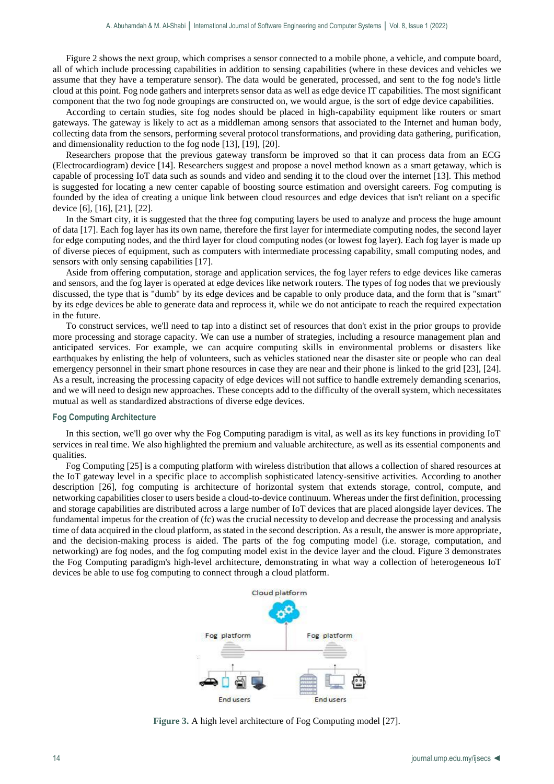Figure 2 shows the next group, which comprises a sensor connected to a mobile phone, a vehicle, and compute board, all of which include processing capabilities in addition to sensing capabilities (where in these devices and vehicles we assume that they have a temperature sensor). The data would be generated, processed, and sent to the fog node's little cloud at this point. Fog node gathers and interprets sensor data as well as edge device IT capabilities. The most significant component that the two fog node groupings are constructed on, we would argue, is the sort of edge device capabilities.

According to certain studies, site fog nodes should be placed in high-capability equipment like routers or smart gateways. The gateway is likely to act as a middleman among sensors that associated to the Internet and human body, collecting data from the sensors, performing several protocol transformations, and providing data gathering, purification, and dimensionality reduction to the fog node [13], [19], [20].

Researchers propose that the previous gateway transform be improved so that it can process data from an ECG (Electrocardiogram) device [14]. Researchers suggest and propose a novel method known as a smart getaway, which is capable of processing IoT data such as sounds and video and sending it to the cloud over the internet [13]. This method is suggested for locating a new center capable of boosting source estimation and oversight careers. Fog computing is founded by the idea of creating a unique link between cloud resources and edge devices that isn't reliant on a specific device [6], [16], [21], [22].

In the Smart city, it is suggested that the three fog computing layers be used to analyze and process the huge amount of data [17]. Each fog layer has its own name, therefore the first layer for intermediate computing nodes, the second layer for edge computing nodes, and the third layer for cloud computing nodes (or lowest fog layer). Each fog layer is made up of diverse pieces of equipment, such as computers with intermediate processing capability, small computing nodes, and sensors with only sensing capabilities [17].

Aside from offering computation, storage and application services, the fog layer refers to edge devices like cameras and sensors, and the fog layer is operated at edge devices like network routers. The types of fog nodes that we previously discussed, the type that is "dumb" by its edge devices and be capable to only produce data, and the form that is "smart" by its edge devices be able to generate data and reprocess it, while we do not anticipate to reach the required expectation in the future.

To construct services, we'll need to tap into a distinct set of resources that don't exist in the prior groups to provide more processing and storage capacity. We can use a number of strategies, including a resource management plan and anticipated services. For example, we can acquire computing skills in environmental problems or disasters like earthquakes by enlisting the help of volunteers, such as vehicles stationed near the disaster site or people who can deal emergency personnel in their smart phone resources in case they are near and their phone is linked to the grid [23], [24]. As a result, increasing the processing capacity of edge devices will not suffice to handle extremely demanding scenarios, and we will need to design new approaches. These concepts add to the difficulty of the overall system, which necessitates mutual as well as standardized abstractions of diverse edge devices.

#### **Fog Computing Architecture**

In this section, we'll go over why the Fog Computing paradigm is vital, as well as its key functions in providing IoT services in real time. We also highlighted the premium and valuable architecture, as well as its essential components and qualities.

Fog Computing [25] is a computing platform with wireless distribution that allows a collection of shared resources at the IoT gateway level in a specific place to accomplish sophisticated latency-sensitive activities. According to another description [26], fog computing is architecture of horizontal system that extends storage, control, compute, and networking capabilities closer to users beside a cloud-to-device continuum. Whereas under the first definition, processing and storage capabilities are distributed across a large number of IoT devices that are placed alongside layer devices. The fundamental impetus for the creation of (fc) was the crucial necessity to develop and decrease the processing and analysis time of data acquired in the cloud platform, as stated in the second description. As a result, the answer is more appropriate, and the decision-making process is aided. The parts of the fog computing model (i.e. storage, computation, and networking) are fog nodes, and the fog computing model exist in the device layer and the cloud. Figure 3 demonstrates the Fog Computing paradigm's high-level architecture, demonstrating in what way a collection of heterogeneous IoT devices be able to use fog computing to connect through a cloud platform.



**Figure 3.** A high level architecture of Fog Computing model [27].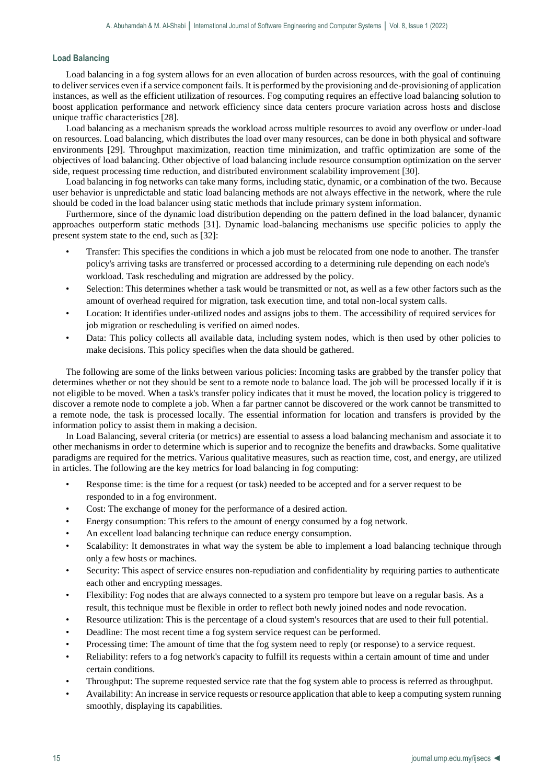#### **Load Balancing**

Load balancing in a fog system allows for an even allocation of burden across resources, with the goal of continuing to deliver services even if a service component fails. It is performed by the provisioning and de-provisioning of application instances, as well as the efficient utilization of resources. Fog computing requires an effective load balancing solution to boost application performance and network efficiency since data centers procure variation across hosts and disclose unique traffic characteristics [28].

Load balancing as a mechanism spreads the workload across multiple resources to avoid any overflow or under-load on resources. Load balancing, which distributes the load over many resources, can be done in both physical and software environments [29]. Throughput maximization, reaction time minimization, and traffic optimization are some of the objectives of load balancing. Other objective of load balancing include resource consumption optimization on the server side, request processing time reduction, and distributed environment scalability improvement [30].

Load balancing in fog networks can take many forms, including static, dynamic, or a combination of the two. Because user behavior is unpredictable and static load balancing methods are not always effective in the network, where the rule should be coded in the load balancer using static methods that include primary system information.

Furthermore, since of the dynamic load distribution depending on the pattern defined in the load balancer, dynamic approaches outperform static methods [31]. Dynamic load-balancing mechanisms use specific policies to apply the present system state to the end, such as [32]:

- Transfer: This specifies the conditions in which a job must be relocated from one node to another. The transfer policy's arriving tasks are transferred or processed according to a determining rule depending on each node's workload. Task rescheduling and migration are addressed by the policy.
- Selection: This determines whether a task would be transmitted or not, as well as a few other factors such as the amount of overhead required for migration, task execution time, and total non-local system calls.
- Location: It identifies under-utilized nodes and assigns jobs to them. The accessibility of required services for job migration or rescheduling is verified on aimed nodes.
- Data: This policy collects all available data, including system nodes, which is then used by other policies to make decisions. This policy specifies when the data should be gathered.

The following are some of the links between various policies: Incoming tasks are grabbed by the transfer policy that determines whether or not they should be sent to a remote node to balance load. The job will be processed locally if it is not eligible to be moved. When a task's transfer policy indicates that it must be moved, the location policy is triggered to discover a remote node to complete a job. When a far partner cannot be discovered or the work cannot be transmitted to a remote node, the task is processed locally. The essential information for location and transfers is provided by the information policy to assist them in making a decision.

In Load Balancing, several criteria (or metrics) are essential to assess a load balancing mechanism and associate it to other mechanisms in order to determine which is superior and to recognize the benefits and drawbacks. Some qualitative paradigms are required for the metrics. Various qualitative measures, such as reaction time, cost, and energy, are utilized in articles. The following are the key metrics for load balancing in fog computing:

- Response time: is the time for a request (or task) needed to be accepted and for a server request to be responded to in a fog environment.
- Cost: The exchange of money for the performance of a desired action.
- Energy consumption: This refers to the amount of energy consumed by a fog network.
- An excellent load balancing technique can reduce energy consumption.
- Scalability: It demonstrates in what way the system be able to implement a load balancing technique through only a few hosts or machines.
- Security: This aspect of service ensures non-repudiation and confidentiality by requiring parties to authenticate each other and encrypting messages.
- Flexibility: Fog nodes that are always connected to a system pro tempore but leave on a regular basis. As a result, this technique must be flexible in order to reflect both newly joined nodes and node revocation.
- Resource utilization: This is the percentage of a cloud system's resources that are used to their full potential.
- Deadline: The most recent time a fog system service request can be performed.
- Processing time: The amount of time that the fog system need to reply (or response) to a service request.
- Reliability: refers to a fog network's capacity to fulfill its requests within a certain amount of time and under certain conditions.
- Throughput: The supreme requested service rate that the fog system able to process is referred as throughput.
- Availability: An increase in service requests or resource application that able to keep a computing system running smoothly, displaying its capabilities.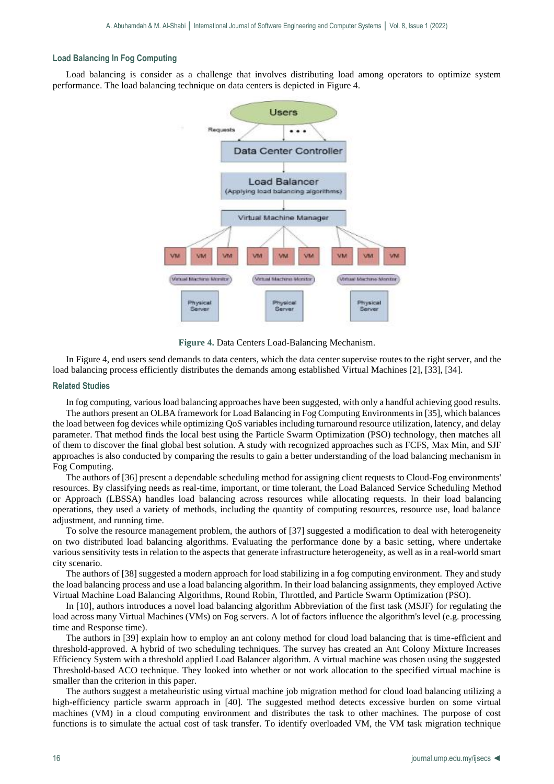#### **Load Balancing In Fog Computing**

Load balancing is consider as a challenge that involves distributing load among operators to optimize system performance. The load balancing technique on data centers is depicted in Figure 4.



**Figure 4.** Data Centers Load-Balancing Mechanism.

In Figure 4, end users send demands to data centers, which the data center supervise routes to the right server, and the load balancing process efficiently distributes the demands among established Virtual Machines [2], [33], [34].

#### **Related Studies**

In fog computing, various load balancing approaches have been suggested, with only a handful achieving good results.

The authors present an OLBA framework for Load Balancing in Fog Computing Environments in [35], which balances the load between fog devices while optimizing QoS variables including turnaround resource utilization, latency, and delay parameter. That method finds the local best using the Particle Swarm Optimization (PSO) technology, then matches all of them to discover the final global best solution. A study with recognized approaches such as FCFS, Max Min, and SJF approaches is also conducted by comparing the results to gain a better understanding of the load balancing mechanism in Fog Computing.

The authors of [36] present a dependable scheduling method for assigning client requests to Cloud-Fog environments' resources. By classifying needs as real-time, important, or time tolerant, the Load Balanced Service Scheduling Method or Approach (LBSSA) handles load balancing across resources while allocating requests. In their load balancing operations, they used a variety of methods, including the quantity of computing resources, resource use, load balance adjustment, and running time.

To solve the resource management problem, the authors of [37] suggested a modification to deal with heterogeneity on two distributed load balancing algorithms. Evaluating the performance done by a basic setting, where undertake various sensitivity tests in relation to the aspects that generate infrastructure heterogeneity, as well as in a real-world smart city scenario.

The authors of [38] suggested a modern approach for load stabilizing in a fog computing environment. They and study the load balancing process and use a load balancing algorithm. In their load balancing assignments, they employed Active Virtual Machine Load Balancing Algorithms, Round Robin, Throttled, and Particle Swarm Optimization (PSO).

In [10], authors introduces a novel load balancing algorithm Abbreviation of the first task (MSJF) for regulating the load across many Virtual Machines (VMs) on Fog servers. A lot of factors influence the algorithm's level (e.g. processing time and Response time).

The authors in [39] explain how to employ an ant colony method for cloud load balancing that is time-efficient and threshold-approved. A hybrid of two scheduling techniques. The survey has created an Ant Colony Mixture Increases Efficiency System with a threshold applied Load Balancer algorithm. A virtual machine was chosen using the suggested Threshold-based ACO technique. They looked into whether or not work allocation to the specified virtual machine is smaller than the criterion in this paper.

The authors suggest a metaheuristic using virtual machine job migration method for cloud load balancing utilizing a high-efficiency particle swarm approach in [40]. The suggested method detects excessive burden on some virtual machines (VM) in a cloud computing environment and distributes the task to other machines. The purpose of cost functions is to simulate the actual cost of task transfer. To identify overloaded VM, the VM task migration technique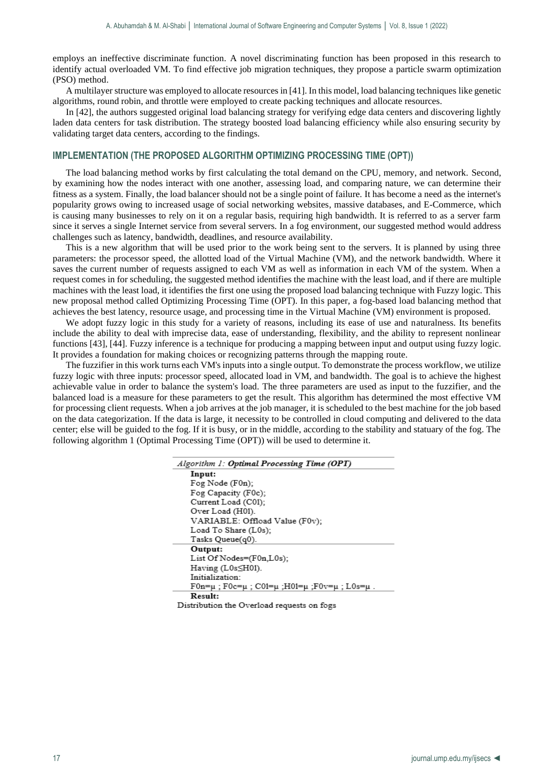employs an ineffective discriminate function. A novel discriminating function has been proposed in this research to identify actual overloaded VM. To find effective job migration techniques, they propose a particle swarm optimization (PSO) method.

A multilayer structure was employed to allocate resources in [41]. In this model, load balancing techniques like genetic algorithms, round robin, and throttle were employed to create packing techniques and allocate resources.

In [42], the authors suggested original load balancing strategy for verifying edge data centers and discovering lightly laden data centers for task distribution. The strategy boosted load balancing efficiency while also ensuring security by validating target data centers, according to the findings.

#### **IMPLEMENTATION (THE PROPOSED ALGORITHM OPTIMIZING PROCESSING TIME (OPT))**

The load balancing method works by first calculating the total demand on the CPU, memory, and network. Second, by examining how the nodes interact with one another, assessing load, and comparing nature, we can determine their fitness as a system. Finally, the load balancer should not be a single point of failure. It has become a need as the internet's popularity grows owing to increased usage of social networking websites, massive databases, and E-Commerce, which is causing many businesses to rely on it on a regular basis, requiring high bandwidth. It is referred to as a server farm since it serves a single Internet service from several servers. In a fog environment, our suggested method would address challenges such as latency, bandwidth, deadlines, and resource availability.

This is a new algorithm that will be used prior to the work being sent to the servers. It is planned by using three parameters: the processor speed, the allotted load of the Virtual Machine (VM), and the network bandwidth. Where it saves the current number of requests assigned to each VM as well as information in each VM of the system. When a request comes in for scheduling, the suggested method identifies the machine with the least load, and if there are multiple machines with the least load, it identifies the first one using the proposed load balancing technique with Fuzzy logic. This new proposal method called Optimizing Processing Time (OPT). In this paper, a fog-based load balancing method that achieves the best latency, resource usage, and processing time in the Virtual Machine (VM) environment is proposed.

We adopt fuzzy logic in this study for a variety of reasons, including its ease of use and naturalness. Its benefits include the ability to deal with imprecise data, ease of understanding, flexibility, and the ability to represent nonlinear functions [43], [44]. Fuzzy inference is a technique for producing a mapping between input and output using fuzzy logic. It provides a foundation for making choices or recognizing patterns through the mapping route.

The fuzzifier in this work turns each VM's inputs into a single output. To demonstrate the process workflow, we utilize fuzzy logic with three inputs: processor speed, allocated load in VM, and bandwidth. The goal is to achieve the highest achievable value in order to balance the system's load. The three parameters are used as input to the fuzzifier, and the balanced load is a measure for these parameters to get the result. This algorithm has determined the most effective VM for processing client requests. When a job arrives at the job manager, it is scheduled to the best machine for the job based on the data categorization. If the data is large, it necessity to be controlled in cloud computing and delivered to the data center; else will be guided to the fog. If it is busy, or in the middle, according to the stability and statuary of the fog. The following algorithm 1 (Optimal Processing Time (OPT)) will be used to determine it.

| Algorithm 1: Optimal Processing Time (OPT)    |  |  |
|-----------------------------------------------|--|--|
| Input:                                        |  |  |
| Fog Node (F0n);                               |  |  |
| Fog Capacity (F0c);                           |  |  |
| Current Load (C01);                           |  |  |
| Over Load (H01).                              |  |  |
| VARIABLE: Offload Value (F0v);                |  |  |
| Load To Share (L0s);                          |  |  |
| Tasks Queue(q0).                              |  |  |
| Output:                                       |  |  |
| List Of Nodes= $(Fon, L0s)$ ;                 |  |  |
| Having (L0sSH01).                             |  |  |
| Initialization:                               |  |  |
| F0n=µ ; F0c=µ ; C01=µ ;Н01=µ ;F0v=µ ; L0s=µ . |  |  |
| Result:                                       |  |  |
| Distribution the Outedaad converts an fam     |  |  |

Distribution the Overload requests on fogs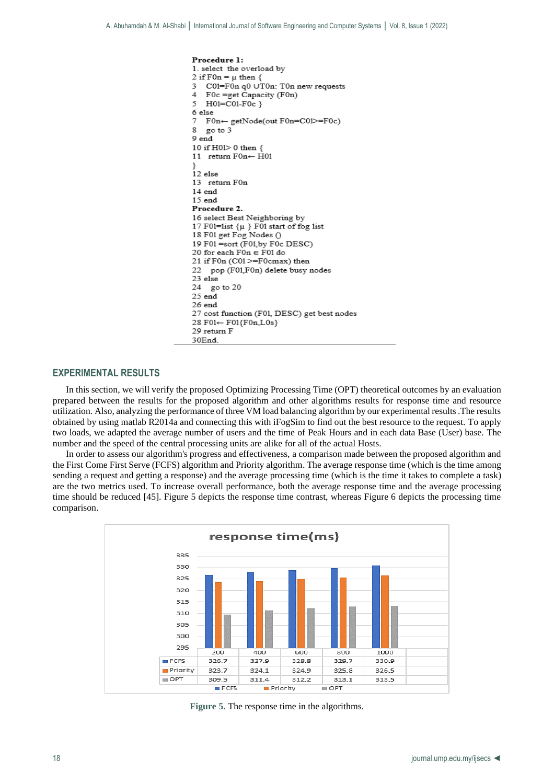

# **EXPERIMENTAL RESULTS**

In this section, we will verify the proposed Optimizing Processing Time (OPT) theoretical outcomes by an evaluation prepared between the results for the proposed algorithm and other algorithms results for response time and resource utilization. Also, analyzing the performance of three VM load balancing algorithm by our experimental results .The results obtained by using matlab R2014a and connecting this with iFogSim to find out the best resource to the request. To apply two loads, we adapted the average number of users and the time of Peak Hours and in each data Base (User) base. The number and the speed of the central processing units are alike for all of the actual Hosts.

In order to assess our algorithm's progress and effectiveness, a comparison made between the proposed algorithm and the First Come First Serve (FCFS) algorithm and Priority algorithm. The average response time (which is the time among sending a request and getting a response) and the average processing time (which is the time it takes to complete a task) are the two metrics used. To increase overall performance, both the average response time and the average processing time should be reduced [45]. Figure 5 depicts the response time contrast, whereas Figure 6 depicts the processing time comparison.



**Figure 5.** The response time in the algorithms.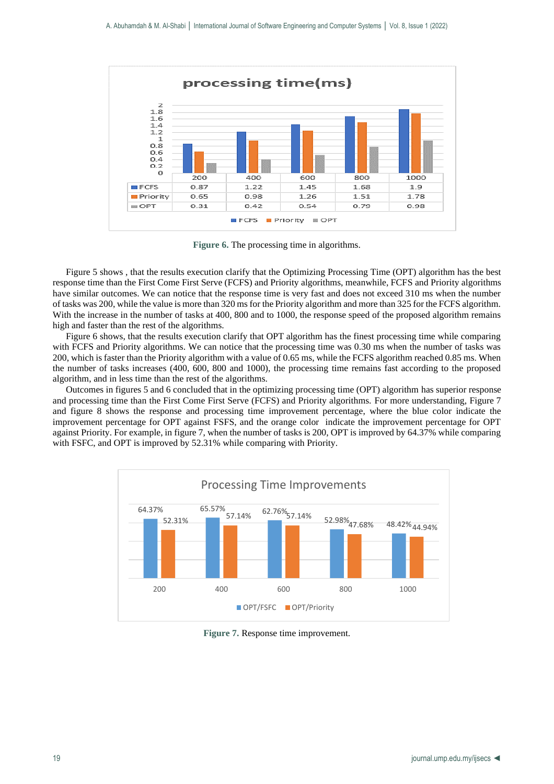

**Figure 6.** The processing time in algorithms.

Figure 5 shows , that the results execution clarify that the Optimizing Processing Time (OPT) algorithm has the best response time than the First Come First Serve (FCFS) and Priority algorithms, meanwhile, FCFS and Priority algorithms have similar outcomes. We can notice that the response time is very fast and does not exceed 310 ms when the number of tasks was 200, while the value is more than 320 ms for the Priority algorithm and more than 325 for the FCFS algorithm. With the increase in the number of tasks at 400, 800 and to 1000, the response speed of the proposed algorithm remains high and faster than the rest of the algorithms.

Figure 6 shows, that the results execution clarify that OPT algorithm has the finest processing time while comparing with FCFS and Priority algorithms. We can notice that the processing time was 0.30 ms when the number of tasks was 200, which is faster than the Priority algorithm with a value of 0.65 ms, while the FCFS algorithm reached 0.85 ms. When the number of tasks increases (400, 600, 800 and 1000), the processing time remains fast according to the proposed algorithm, and in less time than the rest of the algorithms.

Outcomes in figures 5 and 6 concluded that in the optimizing processing time (OPT) algorithm has superior response and processing time than the First Come First Serve (FCFS) and Priority algorithms. For more understanding, Figure 7 and figure 8 shows the response and processing time improvement percentage, where the blue color indicate the improvement percentage for OPT against FSFS, and the orange color indicate the improvement percentage for OPT against Priority. For example, in figure 7, when the number of tasks is 200, OPT is improved by 64.37% while comparing with FSFC, and OPT is improved by 52.31% while comparing with Priority.



**Figure 7.** Response time improvement.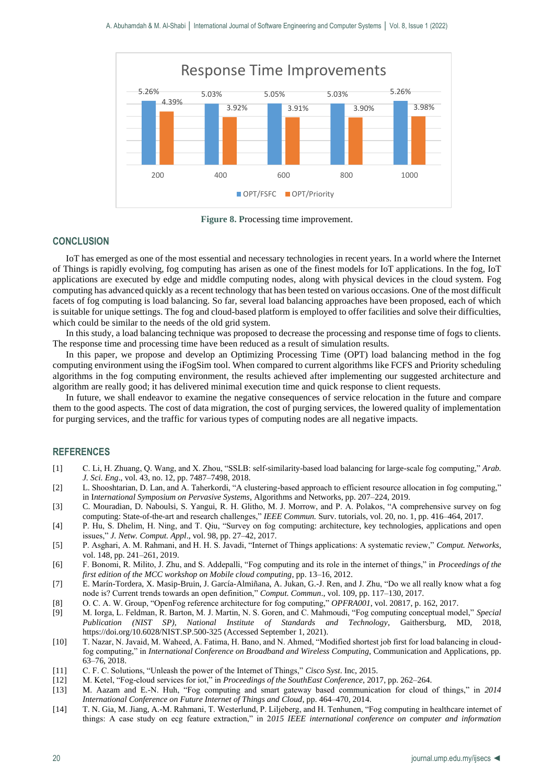

**Figure 8. P**rocessing time improvement.

## **CONCLUSION**

IoT has emerged as one of the most essential and necessary technologies in recent years. In a world where the Internet of Things is rapidly evolving, fog computing has arisen as one of the finest models for IoT applications. In the fog, IoT applications are executed by edge and middle computing nodes, along with physical devices in the cloud system. Fog computing has advanced quickly as a recent technology that has been tested on various occasions. One of the most difficult facets of fog computing is load balancing. So far, several load balancing approaches have been proposed, each of which is suitable for unique settings. The fog and cloud-based platform is employed to offer facilities and solve their difficulties, which could be similar to the needs of the old grid system.

In this study, a load balancing technique was proposed to decrease the processing and response time of fogs to clients. The response time and processing time have been reduced as a result of simulation results.

In this paper, we propose and develop an Optimizing Processing Time (OPT) load balancing method in the fog computing environment using the iFogSim tool. When compared to current algorithms like FCFS and Priority scheduling algorithms in the fog computing environment, the results achieved after implementing our suggested architecture and algorithm are really good; it has delivered minimal execution time and quick response to client requests.

In future, we shall endeavor to examine the negative consequences of service relocation in the future and compare them to the good aspects. The cost of data migration, the cost of purging services, the lowered quality of implementation for purging services, and the traffic for various types of computing nodes are all negative impacts.

## **REFERENCES**

- [1] C. Li, H. Zhuang, Q. Wang, and X. Zhou, "SSLB: self-similarity-based load balancing for large-scale fog computing," *Arab. J. Sci. Eng*., vol. 43, no. 12, pp. 7487–7498, 2018.
- [2] L. Shooshtarian, D. Lan, and A. Taherkordi, "A clustering-based approach to efficient resource allocation in fog computing," in I*nternational Symposium on Pervasive Systems*, Algorithms and Networks, pp. 207–224, 2019.
- [3] C. Mouradian, D. Naboulsi, S. Yangui, R. H. Glitho, M. J. Morrow, and P. A. Polakos, "A comprehensive survey on fog computing: State-of-the-art and research challenges," *IEEE Commun.* Surv. tutorials, vol. 20, no. 1, pp. 416–464, 2017.
- [4] P. Hu, S. Dhelim, H. Ning, and T. Qiu, "Survey on fog computing: architecture, key technologies, applications and open issues," *J. Netw. Comput. Appl*., vol. 98, pp. 27–42, 2017.
- [5] P. Asghari, A. M. Rahmani, and H. H. S. Javadi, "Internet of Things applications: A systematic review," *Comput. Networks*, vol. 148, pp. 241–261, 2019.
- [6] F. Bonomi, R. Milito, J. Zhu, and S. Addepalli, "Fog computing and its role in the internet of things," in *Proceedings of the first edition of the MCC workshop on Mobile cloud computing*, pp. 13–16, 2012.
- [7] E. Marín-Tordera, X. Masip-Bruin, J. García-Almiñana, A. Jukan, G.-J. Ren, and J. Zhu, "Do we all really know what a fog node is? Current trends towards an open definition," *Comput. Commun*., vol. 109, pp. 117–130, 2017.
- [8] O. C. A. W. Group, "OpenFog reference architecture for fog computing," *OPFRA001*, vol. 20817, p. 162, 2017.
- [9] M. Iorga, L. Feldman, R. Barton, M. J. Martin, N. S. Goren, and C. Mahmoudi, "Fog computing conceptual model," *Special Publication (NIST SP), National Institute of Standards and Technology*, Gaithersburg, MD, 2018, https://doi.org/10.6028/NIST.SP.500-325 (Accessed September 1, 2021).
- [10] T. Nazar, N. Javaid, M. Waheed, A. Fatima, H. Bano, and N. Ahmed, "Modified shortest job first for load balancing in cloudfog computing," in *International Conference on Broadband and Wireless Computing*, Communication and Applications, pp. 63–76, 2018.
- [11] C. F. C. Solutions, "Unleash the power of the Internet of Things," *Cisco Syst*. Inc, 2015.
- [12] M. Ketel, "Fog-cloud services for iot," in *Proceedings of the SouthEast Conference*, 2017, pp. 262–264.
- [13] M. Aazam and E.-N. Huh, "Fog computing and smart gateway based communication for cloud of things," in *2014 International Conference on Future Internet of Things and Cloud*, pp. 464–470, 2014.
- [14] T. N. Gia, M. Jiang, A.-M. Rahmani, T. Westerlund, P. Liljeberg, and H. Tenhunen, "Fog computing in healthcare internet of things: A case study on ecg feature extraction," in 2*015 IEEE international conference on computer and information*